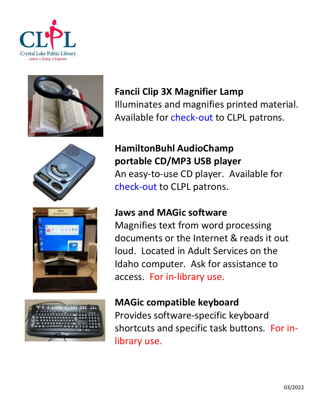

CLPL offers some assistive equipment for in-library use and some for check-out with your CLPL card! Request at the Adult Services desk.











## **HamiltonBuhl AudioChamp portable CD/MP3 USB player**

An easy-to-use CD player. Available for check-out to CLPL patrons.

## **Jaws and MAGic software**

Magnifies text from word processing documents or the Internet & reads it out loud. Located in Adult Services on the Idaho computer. Ask for assistance to access. For in-library use.

## **MAGic compatible keyboard**

Provides software-specific keyboard shortcuts and specific task buttons. For inlibrary use.